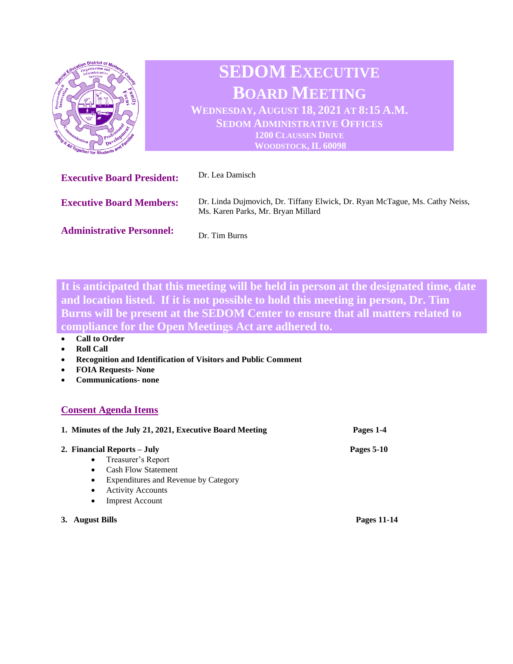

**It is anticipated that this meeting will be held in person at the designated time, date and location listed. If it is not possible to hold this meeting in person, Dr. Tim Burns will be present at the SEDOM Center to ensure that all matters related to compliance for the Open Meetings Act are adhered to.** 

- **Call to Order**
- **Roll Call**
- **Recognition and Identification of Visitors and Public Comment**
- **FOIA Requests- None**
- **Communications- none**

## **Consent Agenda Items**

| 1. Minutes of the July 21, 2021, Executive Board Meeting |                                      | Pages 1-4          |  |
|----------------------------------------------------------|--------------------------------------|--------------------|--|
|                                                          | 2. Financial Reports – July          | Pages 5-10         |  |
| $\bullet$                                                | Treasurer's Report                   |                    |  |
| $\bullet$                                                | <b>Cash Flow Statement</b>           |                    |  |
| $\bullet$                                                | Expenditures and Revenue by Category |                    |  |
| $\bullet$                                                | <b>Activity Accounts</b>             |                    |  |
| $\bullet$                                                | <b>Imprest Account</b>               |                    |  |
| <b>August Bills</b>                                      |                                      | <b>Pages 11-14</b> |  |